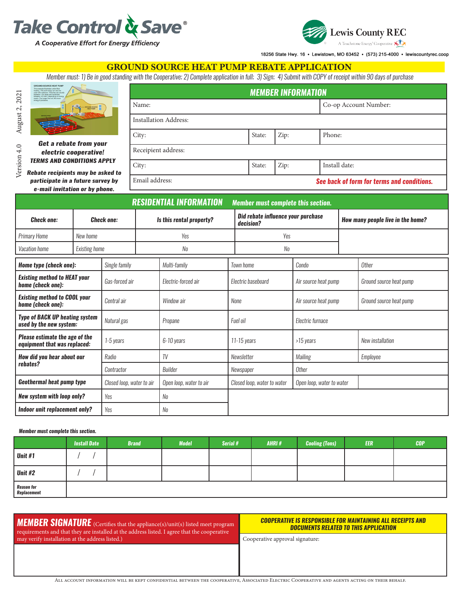



18256 State Hwy. 16 · Lewistown, MO 63452 · (573) 215-4000 · lewiscountyrec.coop

#### GROUND SOURCE HEAT PUMP REBATE APPLICATION

*Member must: 1) Be in good standing with the Cooperative; 2) Complete application in full; 3) Sign; 4) Submit with COPY of receipt within 90 days of purchase*

|                                                 | <b>MEMBER INFORMATION</b>    |        |      |                                            |  |  |  |  |
|-------------------------------------------------|------------------------------|--------|------|--------------------------------------------|--|--|--|--|
| SHOUND-SOURCE                                   | Name:                        |        |      | Co-op Account Number:                      |  |  |  |  |
| ₹                                               | <b>Installation Address:</b> |        |      |                                            |  |  |  |  |
|                                                 | City:                        | State: | Zip: | Phone:                                     |  |  |  |  |
| ate from your<br>cooperative!                   | Receipient address:          |        |      |                                            |  |  |  |  |
| <b>CONDITIONS APPLY</b><br>ents may be asked to | City:                        | State: | Zip: | Install date:                              |  |  |  |  |
| n a future survey by                            | Email address:               |        |      | See back of form for terms and conditions. |  |  |  |  |

Version 4.0 August 2, 2021 Version 4.0 August 2, 2021 *Rebate recipients participate in e-mail invitation or by phone.*

| <b>RESIDENTIAL INFORMATION</b>                                        |                      |                           |                          |                         |                                                 | <b>Member must complete this section.</b> |                                   |          |                         |  |  |
|-----------------------------------------------------------------------|----------------------|---------------------------|--------------------------|-------------------------|-------------------------------------------------|-------------------------------------------|-----------------------------------|----------|-------------------------|--|--|
| <b>Check one:</b><br><b>Check one:</b>                                |                      |                           | Is this rental property? |                         | Did rebate influence your purchase<br>decision? |                                           | How many people live in the home? |          |                         |  |  |
| <b>Primary Home</b>                                                   | New home             |                           |                          | Yes                     |                                                 | Yes                                       |                                   |          |                         |  |  |
| Vacation home                                                         | <b>Existing home</b> |                           |                          | No                      |                                                 | No                                        |                                   |          |                         |  |  |
| Home type (check one):                                                |                      | Single family             | Multi-family             |                         |                                                 | Town home                                 | Condo                             |          | <b>Other</b>            |  |  |
| <b>Existing method to HEAT your</b><br>home (check one):              |                      | Gas-forced air            |                          | Electric-forced air     |                                                 | Electric baseboard                        | Air source heat pump              |          | Ground source heat pump |  |  |
| <b>Existing method to COOL your</b><br>home (check one):              |                      | Central air               |                          | Window air              | None                                            |                                           | Air source heat pump              |          | Ground source heat pump |  |  |
| <b>Type of BACK UP heating system</b><br>used by the new system:      |                      | Natural gas               |                          | Propane                 | Fuel oil                                        |                                           | Electric furnace                  |          |                         |  |  |
| <b>Please estimate the age of the</b><br>equipment that was replaced: |                      | 1-5 years                 |                          | 6-10 years              |                                                 | $11 - 15$ years                           | >15 years                         |          | New installation        |  |  |
| How did you hear about our                                            |                      | Radio                     |                          | TV                      |                                                 | Newsletter<br>Mailing                     |                                   | Employee |                         |  |  |
| rebates?                                                              |                      | Contractor                |                          | Builder                 |                                                 | Newspaper                                 | <b>Other</b>                      |          |                         |  |  |
| <b>Geothermal heat pump type</b>                                      |                      | Closed loop, water to air |                          | Open loop, water to air | Closed loop, water to water                     |                                           | Open loop, water to water         |          |                         |  |  |
| <b>New system with loop only?</b>                                     |                      | Yes                       |                          | No                      |                                                 |                                           |                                   |          |                         |  |  |
| Indoor unit replacement only?                                         |                      | Yes                       |                          | No                      |                                                 |                                           |                                   |          |                         |  |  |

#### *Member must complete this section.*

|                           | <b>Install Date</b> | <b>Brand</b> | <b>Model</b> | Serial # | AHRI# | <b>Cooling (Tons)</b> | <b>EER</b> | <b>COP</b> |
|---------------------------|---------------------|--------------|--------------|----------|-------|-----------------------|------------|------------|
| Unit #1                   |                     |              |              |          |       |                       |            |            |
| Unit #2                   |                     |              |              |          |       |                       |            |            |
| Reason for<br>Replacement |                     |              |              |          |       |                       |            |            |

#### *MEMBER SIGNATURE* (Certifies that the appliance(s)/unit(s) listed meet program requirements and that they are installed at the address listed. I agree that the cooperative may verify installation at the address listed.)

#### **COOPERATIVE IS RESPONSIBLE FOR MAINTAINING ALL RECEIPTS AND** *DOCUMENTS RELATED TO THIS APPLICATION*

Cooperative approval signature:

*Get a reb electric cooperative!*  **TERMS AND O**